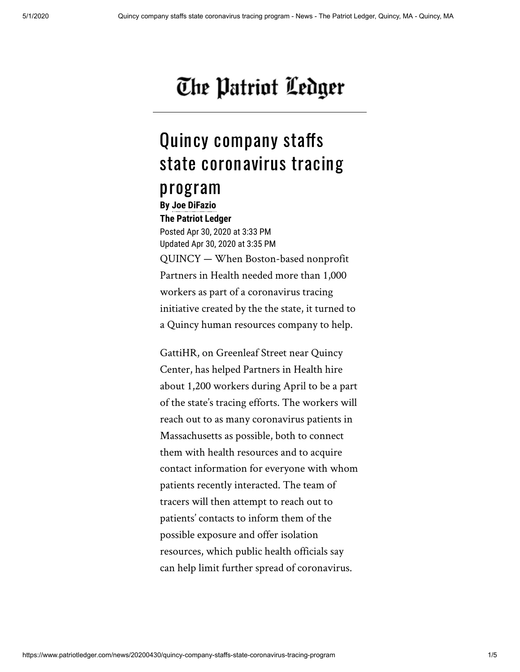## The Patriot Ledger

## Quincy company staffs state coronavirus tracing

## program

**By [Joe DiFazio](mailto:jdifazio@patriotledger.com) The Patriot Ledger** 

Posted Apr 30, 2020 at 3:33 PM Updated Apr 30, 2020 at 3:35 PM QUINCY — When Boston-based nonprofit Partners in Health needed more than 1,000 workers as part of a coronavirus tracing initiative created by the the state, it turned to a Quincy human resources company to help.

GattiHR, on Greenleaf Street near Quincy Center, has helped Partners in Health hire about 1,200 workers during April to be a part of the state's tracing efforts. The workers will reach out to as many coronavirus patients in Massachusetts as possible, both to connect them with health resources and to acquire contact information for everyone with whom patients recently interacted. The team of tracers will then attempt to reach out to patients' contacts to inform them of the possible exposure and offer isolation resources, which public health officials say can help limit further spread of coronavirus.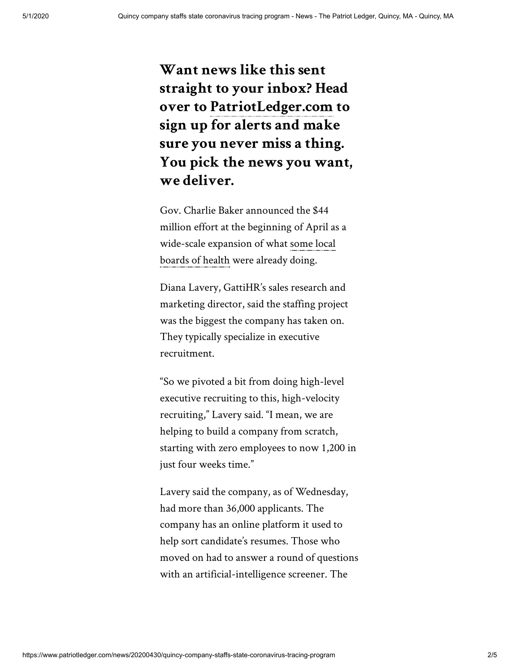**Want news like this sent straight to your inbox? Head over to [PatriotLedger.com](http://myprofile.patriotledger.com/?_ga=2.23729402.1519654948.1563805538-317424564.1548715384) to sign up for alerts and make sure you never miss a thing. You pick the news you want, we deliver.**

Gov. Charlie Baker announced the \$44 million effort at the beginning of April as a [wide-scale expansion of what some local](https://www.enterprisenews.com/news/20200422/expanded-contact-tracing-effort-begins-in-brockton-coronavirus-hot-spot) boards of health were already doing.

Diana Lavery, GattiHR's sales research and marketing director, said the staffing project was the biggest the company has taken on. They typically specialize in executive recruitment.

"So we pivoted a bit from doing high-level executive recruiting to this, high-velocity recruiting," Lavery said. "I mean, we are helping to build a company from scratch, starting with zero employees to now 1,200 in just four weeks time."

Lavery said the company, as of Wednesday, had more than 36,000 applicants. The company has an online platform it used to help sort candidate's resumes. Those who moved on had to answer a round of questions with an artificial-intelligence screener. The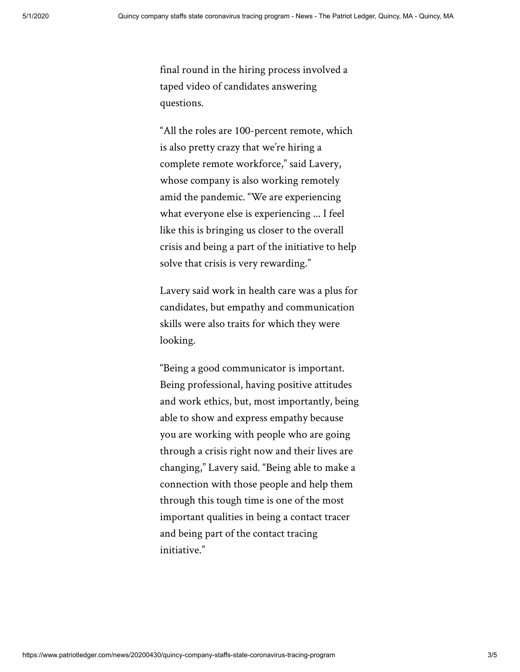final round in the hiring process involved a taped video of candidates answering questions.

"All the roles are 100-percent remote, which is also pretty crazy that we're hiring a complete remote workforce," said Lavery, whose company is also working remotely amid the pandemic. "We are experiencing what everyone else is experiencing ... I feel like this is bringing us closer to the overall crisis and being a part of the initiative to help solve that crisis is very rewarding."

Lavery said work in health care was a plus for candidates, but empathy and communication skills were also traits for which they were looking.

"Being a good communicator is important. Being professional, having positive attitudes and work ethics, but, most importantly, being able to show and express empathy because you are working with people who are going through a crisis right now and their lives are changing," Lavery said. "Being able to make a connection with those people and help them through this tough time is one of the most important qualities in being a contact tracer and being part of the contact tracing initiative."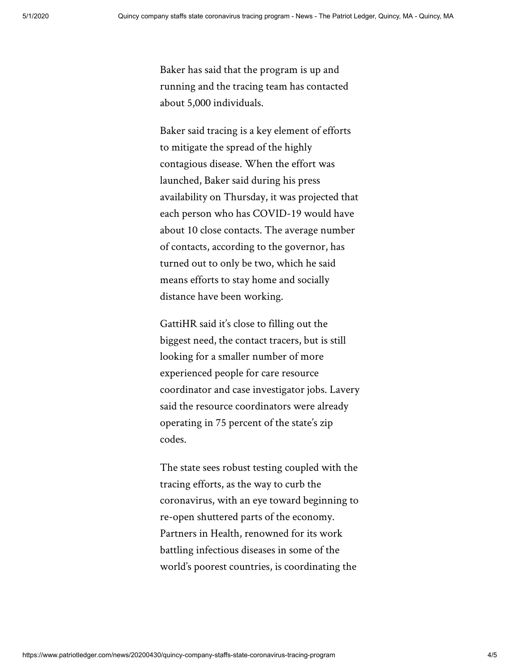Baker has said that the program is up and running and the tracing team has contacted about 5,000 individuals.

Baker said tracing is a key element of efforts to mitigate the spread of the highly contagious disease. When the effort was launched, Baker said during his press availability on Thursday, it was projected that each person who has COVID-19 would have about 10 close contacts. The average number of contacts, according to the governor, has turned out to only be two, which he said means efforts to stay home and socially distance have been working.

GattiHR said it's close to filling out the biggest need, the contact tracers, but is still looking for a smaller number of more experienced people for care resource coordinator and case investigator jobs. Lavery said the resource coordinators were already operating in 75 percent of the state's zip codes.

The state sees robust testing coupled with the tracing efforts, as the way to curb the coronavirus, with an eye toward beginning to re-open shuttered parts of the economy. Partners in Health, renowned for its work battling infectious diseases in some of the world's poorest countries, is coordinating the